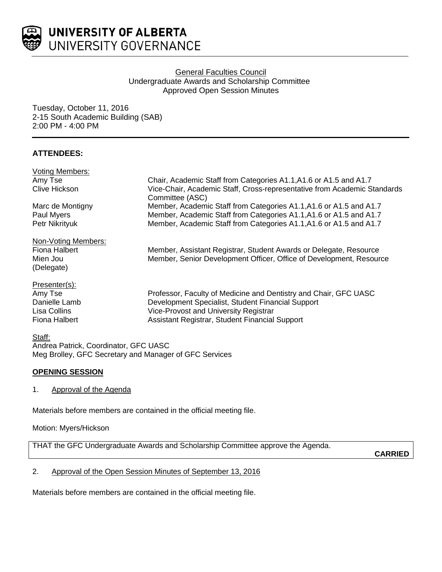

# **General Faculties Council** Undergraduate Awards and Scholarship Committee Approved Open Session Minutes

Tuesday, October 11, 2016 2-15 South Academic Building (SAB) 2:00 PM - 4:00 PM

# **ATTENDEES:**

| <b>Voting Members:</b> |                                                                          |
|------------------------|--------------------------------------------------------------------------|
| Amy Tse                | Chair, Academic Staff from Categories A1.1, A1.6 or A1.5 and A1.7        |
| Clive Hickson          | Vice-Chair, Academic Staff, Cross-representative from Academic Standards |
|                        | Committee (ASC)                                                          |
| Marc de Montigny       | Member, Academic Staff from Categories A1.1, A1.6 or A1.5 and A1.7       |
| Paul Myers             | Member, Academic Staff from Categories A1.1, A1.6 or A1.5 and A1.7       |
| Petr Nikrityuk         | Member, Academic Staff from Categories A1.1, A1.6 or A1.5 and A1.7       |
| Non-Voting Members:    |                                                                          |
| Fiona Halbert          | Member, Assistant Registrar, Student Awards or Delegate, Resource        |
| Mien Jou               | Member, Senior Development Officer, Office of Development, Resource      |
| (Delegate)             |                                                                          |
| Presenter(s):          |                                                                          |
| Amy Tse                | Professor, Faculty of Medicine and Dentistry and Chair, GFC UASC         |
| Danielle Lamb          | Development Specialist, Student Financial Support                        |
| Lisa Collins           | Vice-Provost and University Registrar                                    |
| Fiona Halbert          | Assistant Registrar, Student Financial Support                           |
|                        |                                                                          |

## Staff:

Andrea Patrick, Coordinator, GFC UASC Meg Brolley, GFC Secretary and Manager of GFC Services

## **OPENING SESSION**

1. Approval of the Agenda

Materials before members are contained in the official meeting file.

Motion: Myers/Hickson

THAT the GFC Undergraduate Awards and Scholarship Committee approve the Agenda.

**CARRIED**

# 2. Approval of the Open Session Minutes of September 13, 2016

Materials before members are contained in the official meeting file.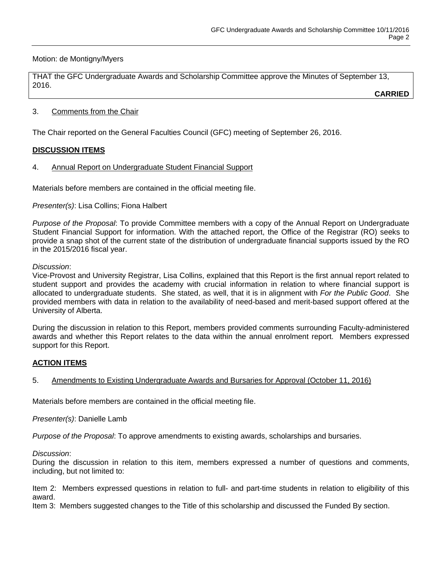## Motion: de Montigny/Myers

THAT the GFC Undergraduate Awards and Scholarship Committee approve the Minutes of September 13, 2016.

**CARRIED**

### 3. Comments from the Chair

The Chair reported on the General Faculties Council (GFC) meeting of September 26, 2016.

## **DISCUSSION ITEMS**

4. Annual Report on Undergraduate Student Financial Support

Materials before members are contained in the official meeting file.

*Presenter(s)*: Lisa Collins; Fiona Halbert

*Purpose of the Proposal*: To provide Committee members with a copy of the Annual Report on Undergraduate Student Financial Support for information. With the attached report, the Office of the Registrar (RO) seeks to provide a snap shot of the current state of the distribution of undergraduate financial supports issued by the RO in the 2015/2016 fiscal year.

#### *Discussion*:

Vice-Provost and University Registrar, Lisa Collins, explained that this Report is the first annual report related to student support and provides the academy with crucial information in relation to where financial support is allocated to undergraduate students. She stated, as well, that it is in alignment with *For the Public Good*. She provided members with data in relation to the availability of need-based and merit-based support offered at the University of Alberta.

During the discussion in relation to this Report, members provided comments surrounding Faculty-administered awards and whether this Report relates to the data within the annual enrolment report. Members expressed support for this Report.

# **ACTION ITEMS**

## 5. Amendments to Existing Undergraduate Awards and Bursaries for Approval (October 11, 2016)

Materials before members are contained in the official meeting file.

*Presenter(s)*: Danielle Lamb

*Purpose of the Proposal*: To approve amendments to existing awards, scholarships and bursaries.

*Discussion*:

During the discussion in relation to this item, members expressed a number of questions and comments, including, but not limited to:

Item 2: Members expressed questions in relation to full- and part-time students in relation to eligibility of this award.

Item 3: Members suggested changes to the Title of this scholarship and discussed the Funded By section.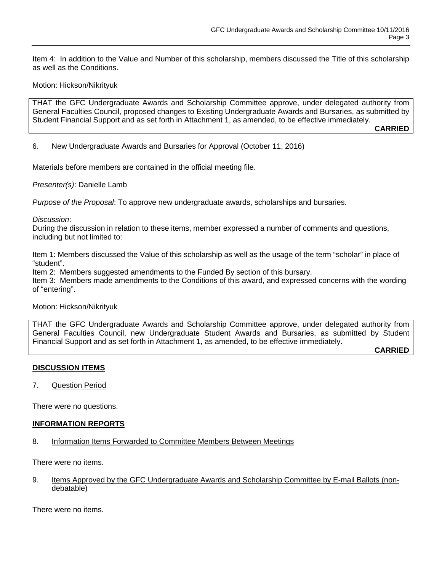Item 4: In addition to the Value and Number of this scholarship, members discussed the Title of this scholarship as well as the Conditions.

### Motion: Hickson/Nikrityuk

THAT the GFC Undergraduate Awards and Scholarship Committee approve, under delegated authority from General Faculties Council, proposed changes to Existing Undergraduate Awards and Bursaries, as submitted by Student Financial Support and as set forth in Attachment 1, as amended, to be effective immediately.

**CARRIED**

#### 6. New Undergraduate Awards and Bursaries for Approval (October 11, 2016)

Materials before members are contained in the official meeting file.

*Presenter(s)*: Danielle Lamb

*Purpose of the Proposal*: To approve new undergraduate awards, scholarships and bursaries.

#### *Discussion*:

During the discussion in relation to these items, member expressed a number of comments and questions, including but not limited to:

Item 1: Members discussed the Value of this scholarship as well as the usage of the term "scholar" in place of "student".

Item 2: Members suggested amendments to the Funded By section of this bursary.

Item 3: Members made amendments to the Conditions of this award, and expressed concerns with the wording of "entering".

#### Motion: Hickson/Nikrityuk

THAT the GFC Undergraduate Awards and Scholarship Committee approve, under delegated authority from General Faculties Council, new Undergraduate Student Awards and Bursaries, as submitted by Student Financial Support and as set forth in Attachment 1, as amended, to be effective immediately.

**CARRIED**

## **DISCUSSION ITEMS**

7. Question Period

There were no questions.

#### **INFORMATION REPORTS**

8. Information Items Forwarded to Committee Members Between Meetings

There were no items.

9. Items Approved by the GFC Undergraduate Awards and Scholarship Committee by E-mail Ballots (nondebatable)

There were no items.